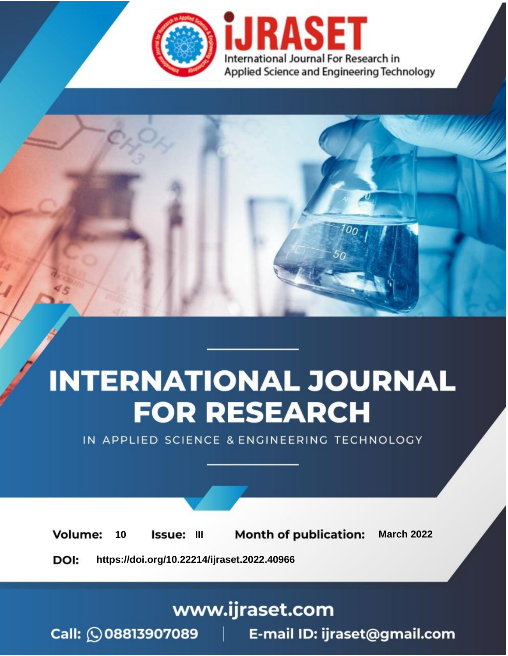

# **INTERNATIONAL JOURNAL FOR RESEARCH**

IN APPLIED SCIENCE & ENGINEERING TECHNOLOGY

10 **Issue: III Month of publication:** March 2022 **Volume:** 

**https://doi.org/10.22214/ijraset.2022.40966**DOI:

www.ijraset.com

Call: 008813907089 | E-mail ID: ijraset@gmail.com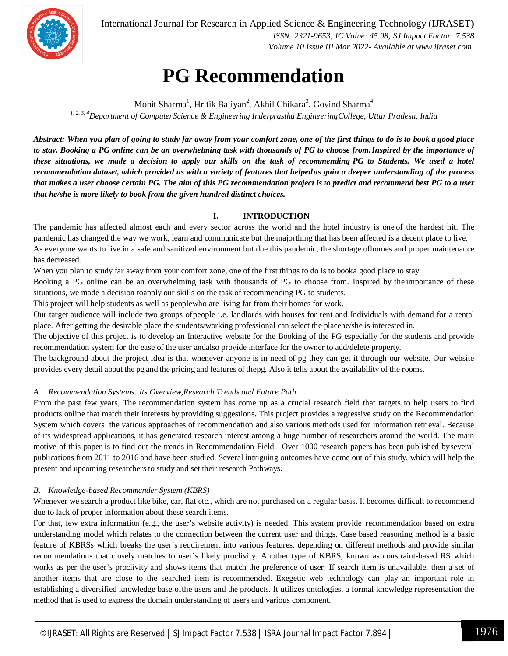

International Journal for Research in Applied Science & Engineering Technology (IJRASET**)**  *ISSN: 2321-9653; IC Value: 45.98; SJ Impact Factor: 7.538 Volume 10 Issue III Mar 2022- Available at www.ijraset.com*

# **PG Recommendation**

Mohit Sharma<sup>1</sup>, Hritik Baliyan<sup>2</sup>, Akhil Chikara<sup>3</sup>, Govind Sharma<sup>4</sup> *1, 2, 3, 4Department of ComputerScience & Engineering Inderprastha EngineeringCollege, Uttar Pradesh, India*

*Abstract: When you plan of going to study far away from your comfort zone, one of the first things to do is to book a good place* to stay. Booking a PG online can be an overwhelming task with thousands of PG to choose from. Inspired by the importance of these situations, we made a decision to apply our skills on the task of recommending PG to Students. We used a hotel *recommendation dataset, which provided us with a variety of features that helpedus gain a deeper understanding of the process that makes a user choose certain PG. The aim of this PG recommendation project is to predict and recommend best PG to a user that he/she is more likely to book from the given hundred distinct choices.*

# **I. INTRODUCTION**

The pandemic has affected almost each and every sector across the world and the hotel industry is one of the hardest hit. The pandemic has changed the way we work, learn and communicate but the majorthing that has been affected is a decent place to live. As everyone wants to live in a safe and sanitized environment but due this pandemic, the shortage ofhomes and proper maintenance has decreased.

When you plan to study far away from your comfort zone, one of the first things to do is to booka good place to stay.

Booking a PG online can be an overwhelming task with thousands of PG to choose from. Inspired by the importance of these situations, we made a decision toapply our skills on the task of recommending PG to students.

This project will help students as well as peoplewho are living far from their homes for work.

Our target audience will include two groups ofpeople i.e. landlords with houses for rent and Individuals with demand for a rental place. After getting the desirable place the students/working professional can select the placehe/she is interested in.

The objective of this project is to develop an Interactive website for the Booking of the PG especially for the students and provide recommendation system for the ease of the user andalso provide interface for the owner to add/delete property.

The background about the project idea is that whenever anyone is in need of pg they can get it through our website. Our website provides every detail about the pg and the pricing and features of thepg. Also it tells about the availability of the rooms.

# *A. Recommendation Systems: Its Overview,Research Trends and Future Path*

From the past few years, The recommendation system has come up as a crucial research field that targets to help users to find products online that match their interests by providing suggestions. This project provides a regressive study on the Recommendation System which covers the various approaches of recommendation and also various methods used for information retrieval. Because of its widespread applications, it has generated research interest among a huge number of researchers around the world. The main motive of this paper is to find out the trends in Recommendation Field. Over 1000 research papers has been published byseveral publications from 2011 to 2016 and have been studied. Several intriguing outcomes have come out of this study, which will help the present and upcoming researchers to study and set their research Pathways.

# *B. Knowledge-based Recommender System (KBRS)*

Whenever we search a product like bike, car, flat etc., which are not purchased on a regular basis. It becomes difficult to recommend due to lack of proper information about these search items.

For that, few extra information (e.g., the user's website activity) is needed. This system provide recommendation based on extra understanding model which relates to the connection between the current user and things. Case based reasoning method is a basic feature of KBRSs which breaks the user's requirement into various features, depending on different methods and provide similar recommendations that closely matches to user's likely proclivity. Another type of KBRS, known as constraint-based RS which works as per the user's proclivity and shows items that match the preference of user. If search item is unavailable, then a set of another items that are close to the searched item is recommended. Exegetic web technology can play an important role in establishing a diversified knowledge base ofthe users and the products. It utilizes ontologies, a formal knowledge representation the method that is used to express the domain understanding of users and various component.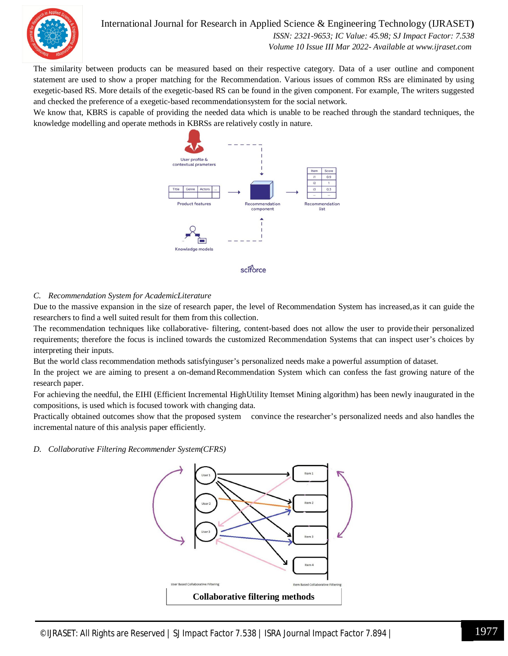

# International Journal for Research in Applied Science & Engineering Technology (IJRASET**)**

 *ISSN: 2321-9653; IC Value: 45.98; SJ Impact Factor: 7.538 Volume 10 Issue III Mar 2022- Available at www.ijraset.com*

The similarity between products can be measured based on their respective category. Data of a user outline and component statement are used to show a proper matching for the Recommendation. Various issues of common RSs are eliminated by using exegetic-based RS. More details of the exegetic-based RS can be found in the given component. For example, The writers suggested and checked the preference of a exegetic-based recommendationsystem for the social network.

We know that, KBRS is capable of providing the needed data which is unable to be reached through the standard techniques, the knowledge modelling and operate methods in KBRSs are relatively costly in nature.



## *C. Recommendation System for AcademicLiterature*

Due to the massive expansion in the size of research paper, the level of Recommendation System has increased,as it can guide the researchers to find a well suited result for them from this collection.

The recommendation techniques like collaborative- filtering, content-based does not allow the user to provide their personalized requirements; therefore the focus is inclined towards the customized Recommendation Systems that can inspect user's choices by interpreting their inputs.

But the world class recommendation methods satisfyinguser's personalized needs make a powerful assumption of dataset.

In the project we are aiming to present a on-demandRecommendation System which can confess the fast growing nature of the research paper.

For achieving the needful, the EIHI (Efficient Incremental HighUtility Itemset Mining algorithm) has been newly inaugurated in the compositions, is used which is focused towork with changing data.

Practically obtained outcomes show that the proposed system convince the researcher's personalized needs and also handles the incremental nature of this analysis paper efficiently.

*D. Collaborative Filtering Recommender System(CFRS)*

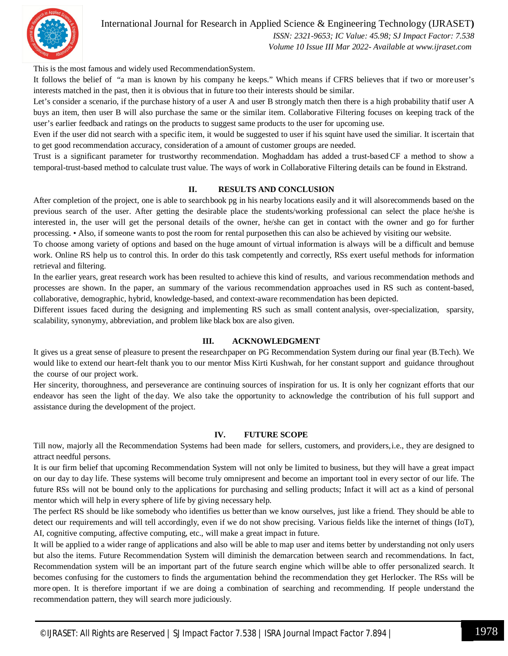

# International Journal for Research in Applied Science & Engineering Technology (IJRASET**)**

 *ISSN: 2321-9653; IC Value: 45.98; SJ Impact Factor: 7.538 Volume 10 Issue III Mar 2022- Available at www.ijraset.com*

This is the most famous and widely used RecommendationSystem.

It follows the belief of "a man is known by his company he keeps." Which means if CFRS believes that if two or more user's interests matched in the past, then it is obvious that in future too their interests should be similar.

Let's consider a scenario, if the purchase history of a user A and user B strongly match then there is a high probability that if user A buys an item, then user B will also purchase the same or the similar item. Collaborative Filtering focuses on keeping track of the user's earlier feedback and ratings on the products to suggest same products to the user for upcoming use.

Even if the user did not search with a specific item, it would be suggested to user if his squint have used the similiar. It iscertain that to get good recommendation accuracy, consideration of a amount of customer groups are needed.

Trust is a significant parameter for trustworthy recommendation. Moghaddam has added a trust-based CF a method to show a temporal-trust-based method to calculate trust value. The ways of work in Collaborative Filtering details can be found in Ekstrand.

## **II. RESULTS AND CONCLUSION**

After completion of the project, one is able to searchbook pg in his nearby locations easily and it will alsorecommends based on the previous search of the user. After getting the desirable place the students/working professional can select the place he/she is interested in, the user will get the personal details of the owner, he/she can get in contact with the owner and go for further processing. • Also, if someone wants to post the room for rental purposethen this can also be achieved by visiting our website.

To choose among variety of options and based on the huge amount of virtual information is always will be a difficult and bemuse work. Online RS help us to control this. In order do this task competently and correctly, RSs exert useful methods for information retrieval and filtering.

In the earlier years, great research work has been resulted to achieve this kind of results, and various recommendation methods and processes are shown. In the paper, an summary of the various recommendation approaches used in RS such as content-based, collaborative, demographic, hybrid, knowledge-based, and context-aware recommendation has been depicted.

Different issues faced during the designing and implementing RS such as small content analysis, over-specialization, sparsity, scalability, synonymy, abbreviation, and problem like black box are also given.

### **III. ACKNOWLEDGMENT**

It gives us a great sense of pleasure to present the researchpaper on PG Recommendation System during our final year (B.Tech). We would like to extend our heart-felt thank you to our mentor Miss Kirti Kushwah, for her constant support and guidance throughout the course of our project work.

Her sincerity, thoroughness, and perseverance are continuing sources of inspiration for us. It is only her cognizant efforts that our endeavor has seen the light of the day. We also take the opportunity to acknowledge the contribution of his full support and assistance during the development of the project.

### **IV. FUTURE SCOPE**

Till now, majorly all the Recommendation Systems had been made for sellers, customers, and providers,i.e., they are designed to attract needful persons.

It is our firm belief that upcoming Recommendation System will not only be limited to business, but they will have a great impact on our day to day life. These systems will become truly omnipresent and become an important tool in every sector of our life. The future RSs will not be bound only to the applications for purchasing and selling products; Infact it will act as a kind of personal mentor which will help in every sphere of life by giving necessary help.

The perfect RS should be like somebody who identifies us better than we know ourselves, just like a friend. They should be able to detect our requirements and will tell accordingly, even if we do not show precising. Various fields like the internet of things (IoT), AI, cognitive computing, affective computing, etc., will make a great impact in future.

It will be applied to a wider range of applications and also will be able to map user and items better by understanding not only users but also the items. Future Recommendation System will diminish the demarcation between search and recommendations. In fact, Recommendation system will be an important part of the future search engine which will be able to offer personalized search. It becomes confusing for the customers to finds the argumentation behind the recommendation they get Herlocker. The RSs will be more open. It is therefore important if we are doing a combination of searching and recommending. If people understand the recommendation pattern, they will search more judiciously.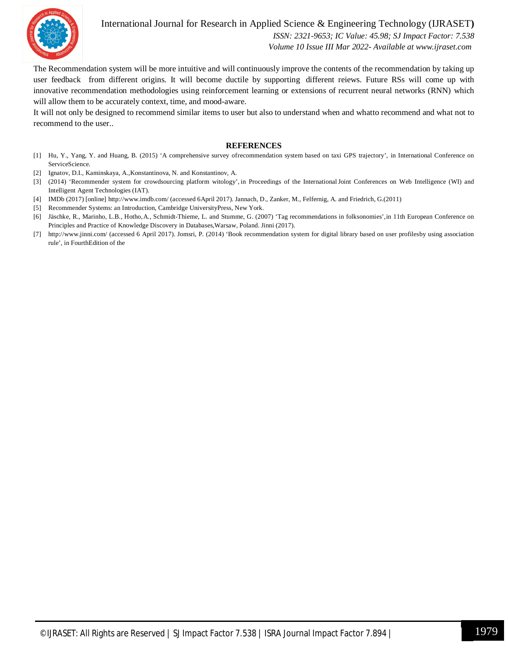

International Journal for Research in Applied Science & Engineering Technology (IJRASET**)**

 *ISSN: 2321-9653; IC Value: 45.98; SJ Impact Factor: 7.538 Volume 10 Issue III Mar 2022- Available at www.ijraset.com*

The Recommendation system will be more intuitive and will continuously improve the contents of the recommendation by taking up user feedback from different origins. It will become ductile by supporting different reiews. Future RSs will come up with innovative recommendation methodologies using reinforcement learning or extensions of recurrent neural networks (RNN) which will allow them to be accurately context, time, and mood-aware.

It will not only be designed to recommend similar items to user but also to understand when and whatto recommend and what not to recommend to the user..

#### **REFERENCES**

- [1] Hu, Y., Yang, Y. and Huang, B. (2015) 'A comprehensive survey ofrecommendation system based on taxi GPS trajectory', in International Conference on ServiceScience.
- [2] Ignatov, D.I., Kaminskaya, A.,Konstantinova, N. and Konstantinov, A.
- [3] (2014) 'Recommender system for crowdsourcing platform witology', in Proceedings of the InternationalJoint Conferences on Web Intelligence (WI) and Intelligent Agent Technologies (IAT).
- [4] IMDb (2017) [online] http://www.imdb.com/ (accessed 6April 2017). Jannach, D., Zanker, M., Felfernig, A. and Friedrich, G.(2011)
- [5] Recommender Systems: an Introduction, Cambridge UniversityPress, New York.
- [6] Jäschke, R., Marinho, L.B., Hotho,A., Schmidt-Thieme, L. and Stumme, G. (2007) 'Tag recommendations in folksonomies',in 11th European Conference on Principles and Practice of Knowledge Discovery in Databases,Warsaw, Poland. Jinni (2017).
- [7] http://www.jinni.com/ (accessed 6 April 2017). Jomsri, P. (2014) 'Book recommendation system for digital library based on user profilesby using association rule', in FourthEdition of the